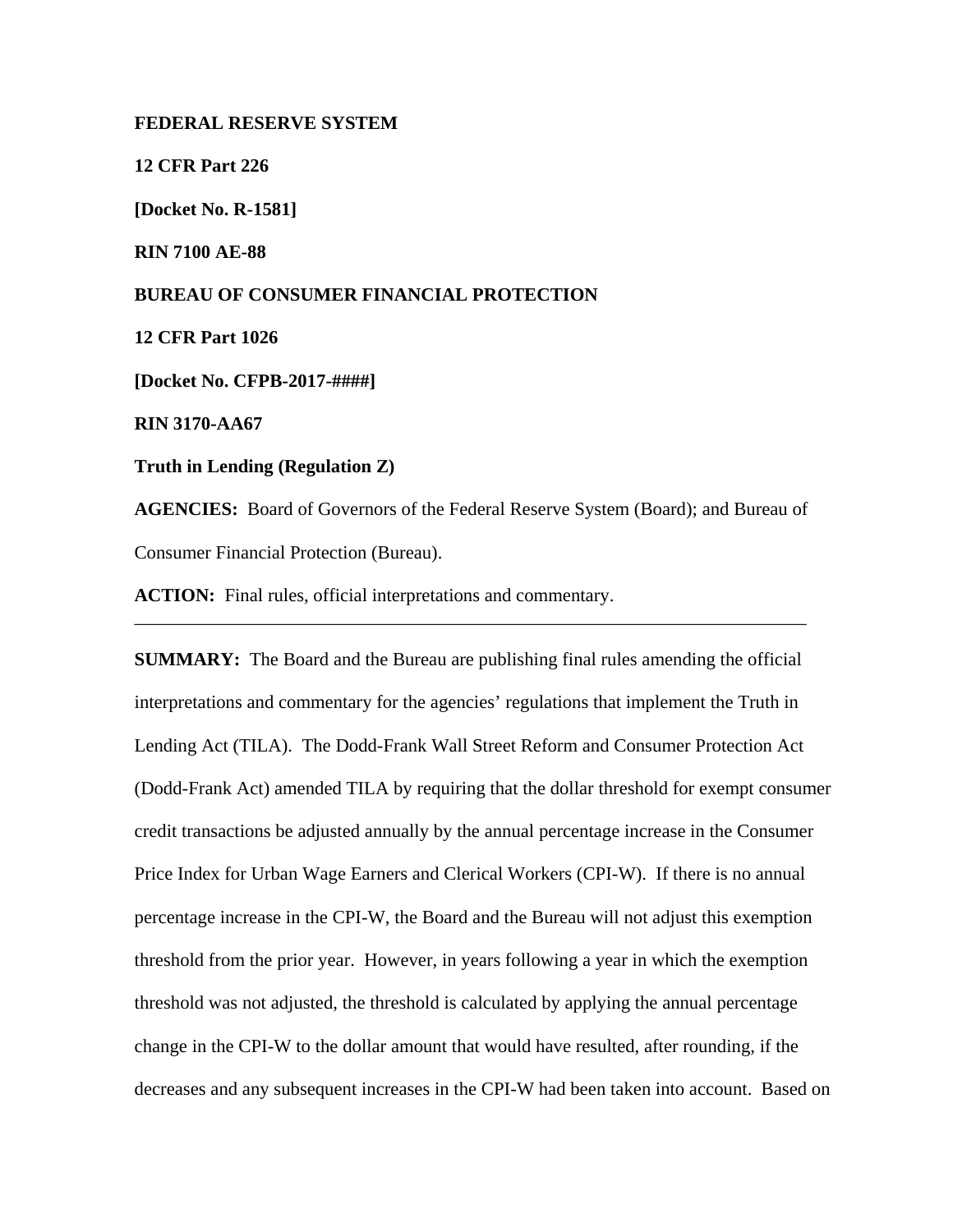#### **FEDERAL RESERVE SYSTEM**

**12 CFR Part 226**

**[Docket No. R-1581]**

**RIN 7100 AE-88**

# **BUREAU OF CONSUMER FINANCIAL PROTECTION**

**12 CFR Part 1026**

**[Docket No. CFPB-2017-####]**

**RIN 3170-AA67**

# **Truth in Lending (Regulation Z)**

**AGENCIES:** Board of Governors of the Federal Reserve System (Board); and Bureau of Consumer Financial Protection (Bureau).

\_\_\_\_\_\_\_\_\_\_\_\_\_\_\_\_\_\_\_\_\_\_\_\_\_\_\_\_\_\_\_\_\_\_\_\_\_\_\_\_\_\_\_\_\_\_\_\_\_\_\_\_\_\_\_\_\_\_\_\_\_\_\_\_\_\_\_\_\_\_\_\_

**ACTION:** Final rules, official interpretations and commentary.

**SUMMARY:** The Board and the Bureau are publishing final rules amending the official interpretations and commentary for the agencies' regulations that implement the Truth in Lending Act (TILA). The Dodd-Frank Wall Street Reform and Consumer Protection Act (Dodd-Frank Act) amended TILA by requiring that the dollar threshold for exempt consumer credit transactions be adjusted annually by the annual percentage increase in the Consumer Price Index for Urban Wage Earners and Clerical Workers (CPI-W). If there is no annual percentage increase in the CPI-W, the Board and the Bureau will not adjust this exemption threshold from the prior year. However, in years following a year in which the exemption threshold was not adjusted, the threshold is calculated by applying the annual percentage change in the CPI-W to the dollar amount that would have resulted, after rounding, if the decreases and any subsequent increases in the CPI-W had been taken into account. Based on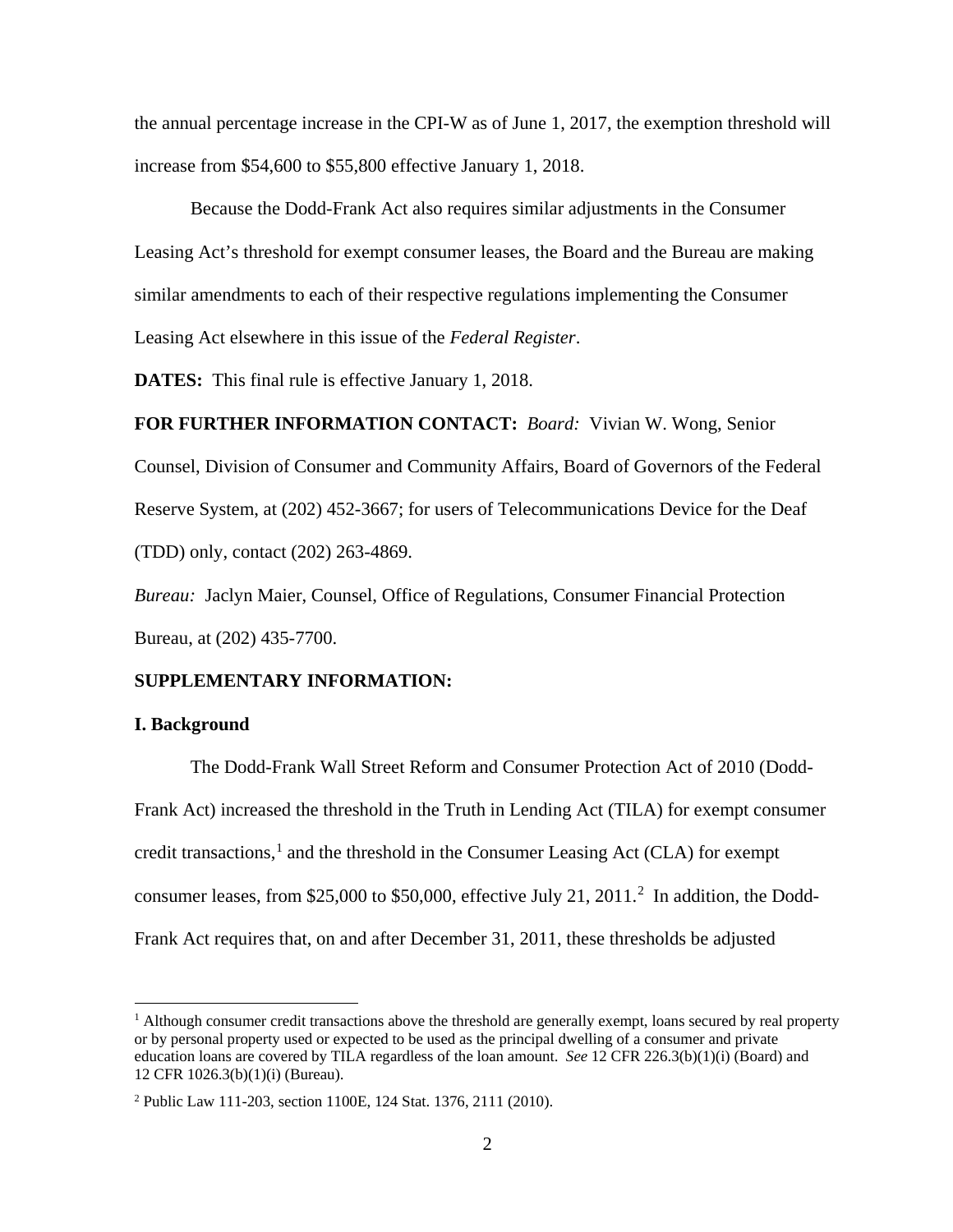the annual percentage increase in the CPI-W as of June 1, 2017, the exemption threshold will increase from \$54,600 to \$55,800 effective January 1, 2018.

Because the Dodd-Frank Act also requires similar adjustments in the Consumer Leasing Act's threshold for exempt consumer leases, the Board and the Bureau are making similar amendments to each of their respective regulations implementing the Consumer Leasing Act elsewhere in this issue of the *Federal Register*.

**DATES:** This final rule is effective January 1, 2018.

**FOR FURTHER INFORMATION CONTACT:** *Board:* Vivian W. Wong, Senior Counsel, Division of Consumer and Community Affairs, Board of Governors of the Federal Reserve System, at (202) 452-3667; for users of Telecommunications Device for the Deaf (TDD) only, contact (202) 263-4869.

*Bureau:* Jaclyn Maier, Counsel, Office of Regulations, Consumer Financial Protection Bureau, at (202) 435-7700.

#### **SUPPLEMENTARY INFORMATION:**

### **I. Background**

The Dodd-Frank Wall Street Reform and Consumer Protection Act of 2010 (Dodd-Frank Act) increased the threshold in the Truth in Lending Act (TILA) for exempt consumer credit transactions, [1](#page-1-0) and the threshold in the Consumer Leasing Act (CLA) for exempt consumer leases, from \$[2](#page-1-1)5,000 to \$50,000, effective July 21, 2011.<sup>2</sup> In addition, the Dodd-Frank Act requires that, on and after December 31, 2011, these thresholds be adjusted

<span id="page-1-0"></span> $<sup>1</sup>$  Although consumer credit transactions above the threshold are generally exempt, loans secured by real property</sup> or by personal property used or expected to be used as the principal dwelling of a consumer and private education loans are covered by TILA regardless of the loan amount. *See* 12 CFR 226.3(b)(1)(i) (Board) and 12 CFR 1026.3(b)(1)(i) (Bureau).

<span id="page-1-1"></span><sup>2</sup> Public Law 111-203, section 1100E, 124 Stat. 1376, 2111 (2010).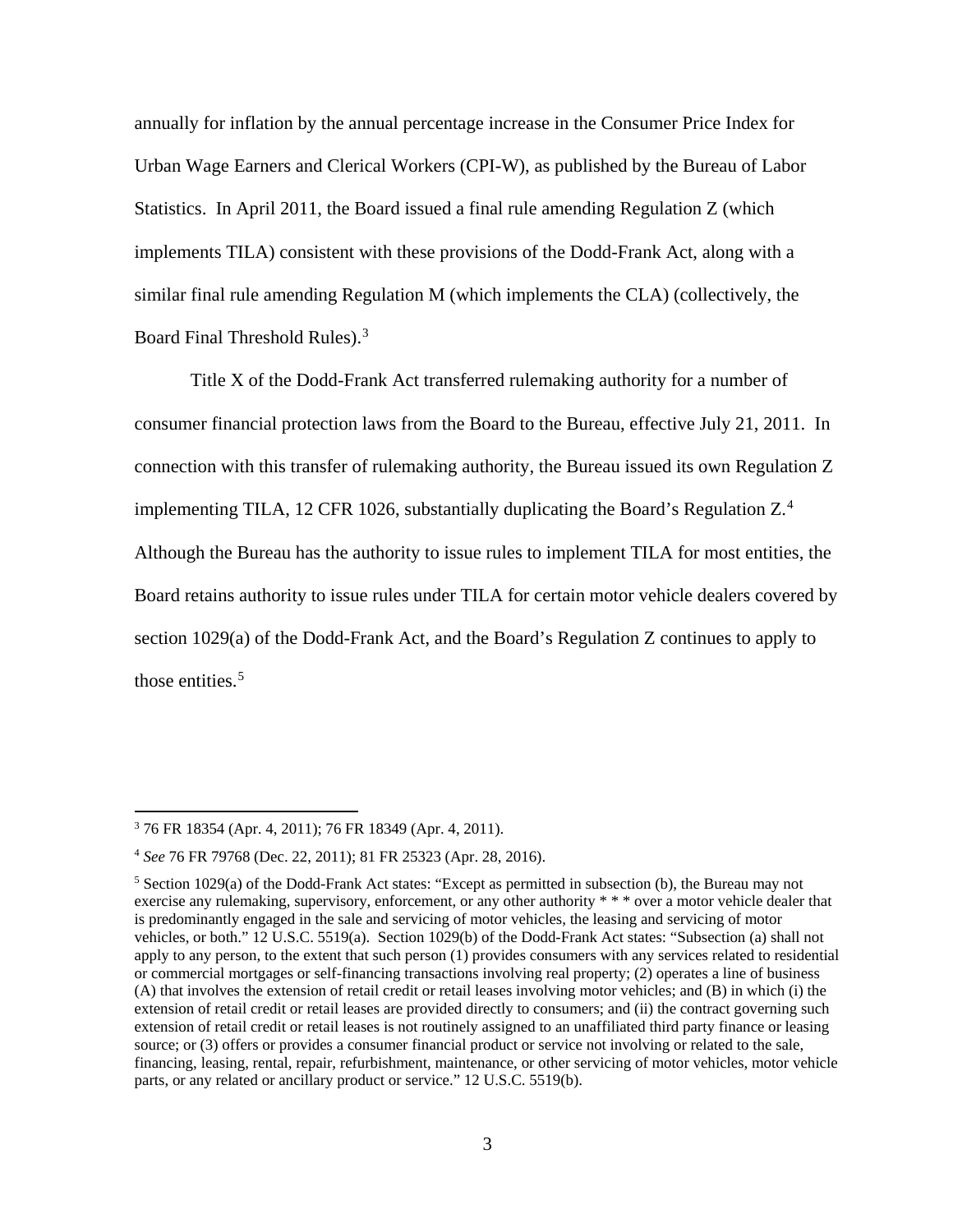annually for inflation by the annual percentage increase in the Consumer Price Index for Urban Wage Earners and Clerical Workers (CPI-W), as published by the Bureau of Labor Statistics. In April 2011, the Board issued a final rule amending Regulation Z (which implements TILA) consistent with these provisions of the Dodd-Frank Act, along with a similar final rule amending Regulation M (which implements the CLA) (collectively, the Board Final Threshold Rules). [3](#page-2-0)

Title X of the Dodd-Frank Act transferred rulemaking authority for a number of consumer financial protection laws from the Board to the Bureau, effective July 21, 2011. In connection with this transfer of rulemaking authority, the Bureau issued its own Regulation Z implementing TILA, 12 CFR 1026, substantially duplicating the Board's Regulation Z. [4](#page-2-1) Although the Bureau has the authority to issue rules to implement TILA for most entities, the Board retains authority to issue rules under TILA for certain motor vehicle dealers covered by section 1029(a) of the Dodd-Frank Act, and the Board's Regulation Z continues to apply to those entities.<sup>[5](#page-2-2)</sup>

<span id="page-2-0"></span> <sup>3</sup> 76 FR 18354 (Apr. 4, 2011); 76 FR 18349 (Apr. 4, 2011).

<span id="page-2-1"></span><sup>4</sup> *See* 76 FR 79768 (Dec. 22, 2011); 81 FR 25323 (Apr. 28, 2016).

<span id="page-2-2"></span><sup>&</sup>lt;sup>5</sup> Section 1029(a) of the Dodd-Frank Act states: "Except as permitted in subsection (b), the Bureau may not exercise any rulemaking, supervisory, enforcement, or any other authority \* \* \* over a motor vehicle dealer that is predominantly engaged in the sale and servicing of motor vehicles, the leasing and servicing of motor vehicles, or both." 12 U.S.C. 5519(a). Section 1029(b) of the Dodd-Frank Act states: "Subsection (a) shall not apply to any person, to the extent that such person (1) provides consumers with any services related to residential or commercial mortgages or self-financing transactions involving real property; (2) operates a line of business (A) that involves the extension of retail credit or retail leases involving motor vehicles; and (B) in which (i) the extension of retail credit or retail leases are provided directly to consumers; and (ii) the contract governing such extension of retail credit or retail leases is not routinely assigned to an unaffiliated third party finance or leasing source; or (3) offers or provides a consumer financial product or service not involving or related to the sale, financing, leasing, rental, repair, refurbishment, maintenance, or other servicing of motor vehicles, motor vehicle parts, or any related or ancillary product or service." 12 U.S.C. 5519(b).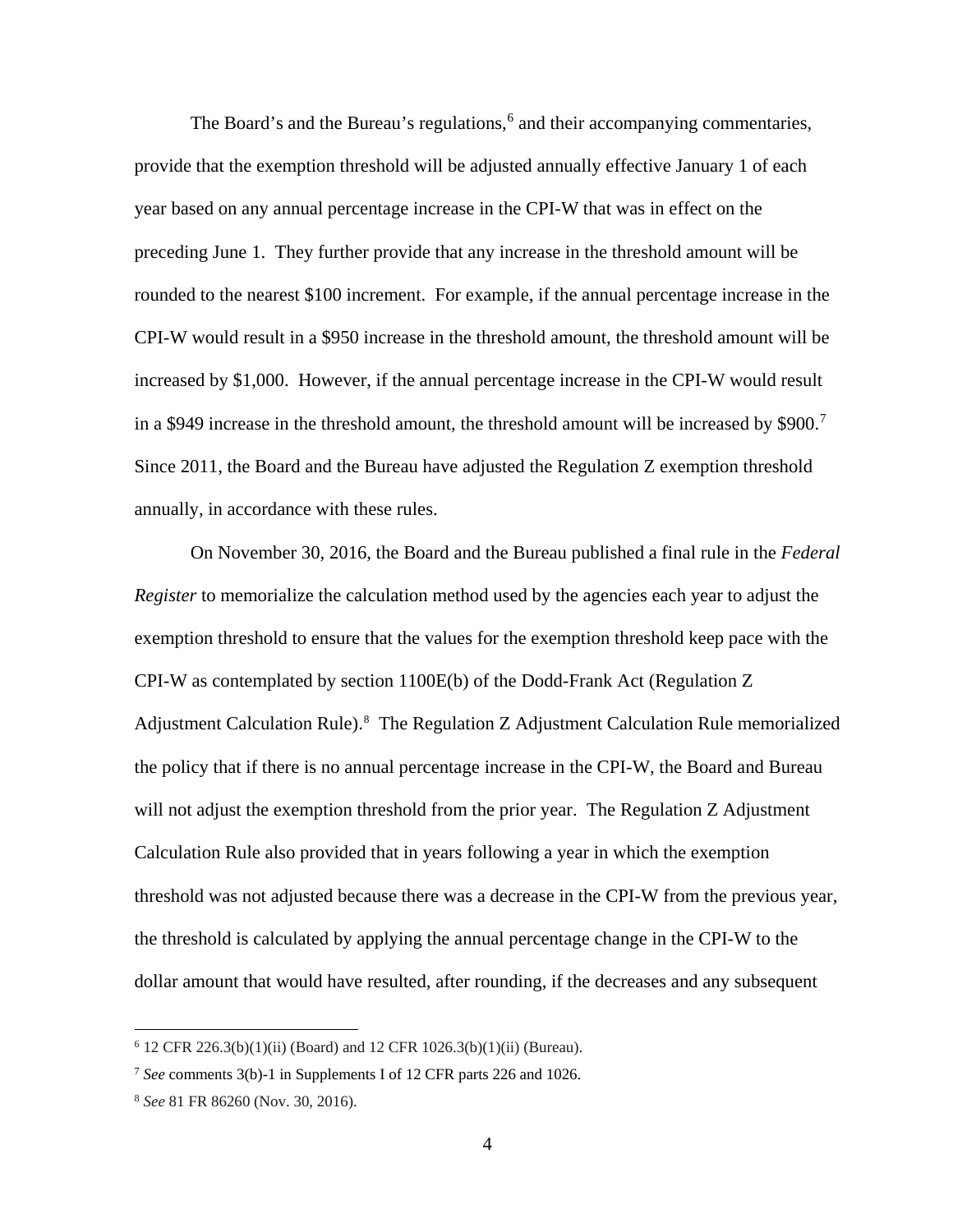The Board's and the Bureau's regulations, [6](#page-3-0) and their accompanying commentaries, provide that the exemption threshold will be adjusted annually effective January 1 of each year based on any annual percentage increase in the CPI-W that was in effect on the preceding June 1. They further provide that any increase in the threshold amount will be rounded to the nearest \$100 increment. For example, if the annual percentage increase in the CPI-W would result in a \$950 increase in the threshold amount, the threshold amount will be increased by \$1,000. However, if the annual percentage increase in the CPI-W would result in a \$949 increase in the threshold amount, the threshold amount will be increased by \$900.<sup>[7](#page-3-1)</sup> Since 2011, the Board and the Bureau have adjusted the Regulation Z exemption threshold annually, in accordance with these rules.

On November 30, 2016, the Board and the Bureau published a final rule in the *Federal Register* to memorialize the calculation method used by the agencies each year to adjust the exemption threshold to ensure that the values for the exemption threshold keep pace with the CPI-W as contemplated by section 1100E(b) of the Dodd-Frank Act (Regulation Z Adjustment Calculation Rule). [8](#page-3-2) The Regulation Z Adjustment Calculation Rule memorialized the policy that if there is no annual percentage increase in the CPI-W, the Board and Bureau will not adjust the exemption threshold from the prior year. The Regulation Z Adjustment Calculation Rule also provided that in years following a year in which the exemption threshold was not adjusted because there was a decrease in the CPI-W from the previous year, the threshold is calculated by applying the annual percentage change in the CPI-W to the dollar amount that would have resulted, after rounding, if the decreases and any subsequent

<span id="page-3-0"></span> $6$  12 CFR 226.3(b)(1)(ii) (Board) and 12 CFR 1026.3(b)(1)(ii) (Bureau).

<span id="page-3-1"></span><sup>7</sup> *See* comments 3(b)-1 in Supplements I of 12 CFR parts 226 and 1026.

<span id="page-3-2"></span><sup>8</sup> *See* 81 FR 86260 (Nov. 30, 2016).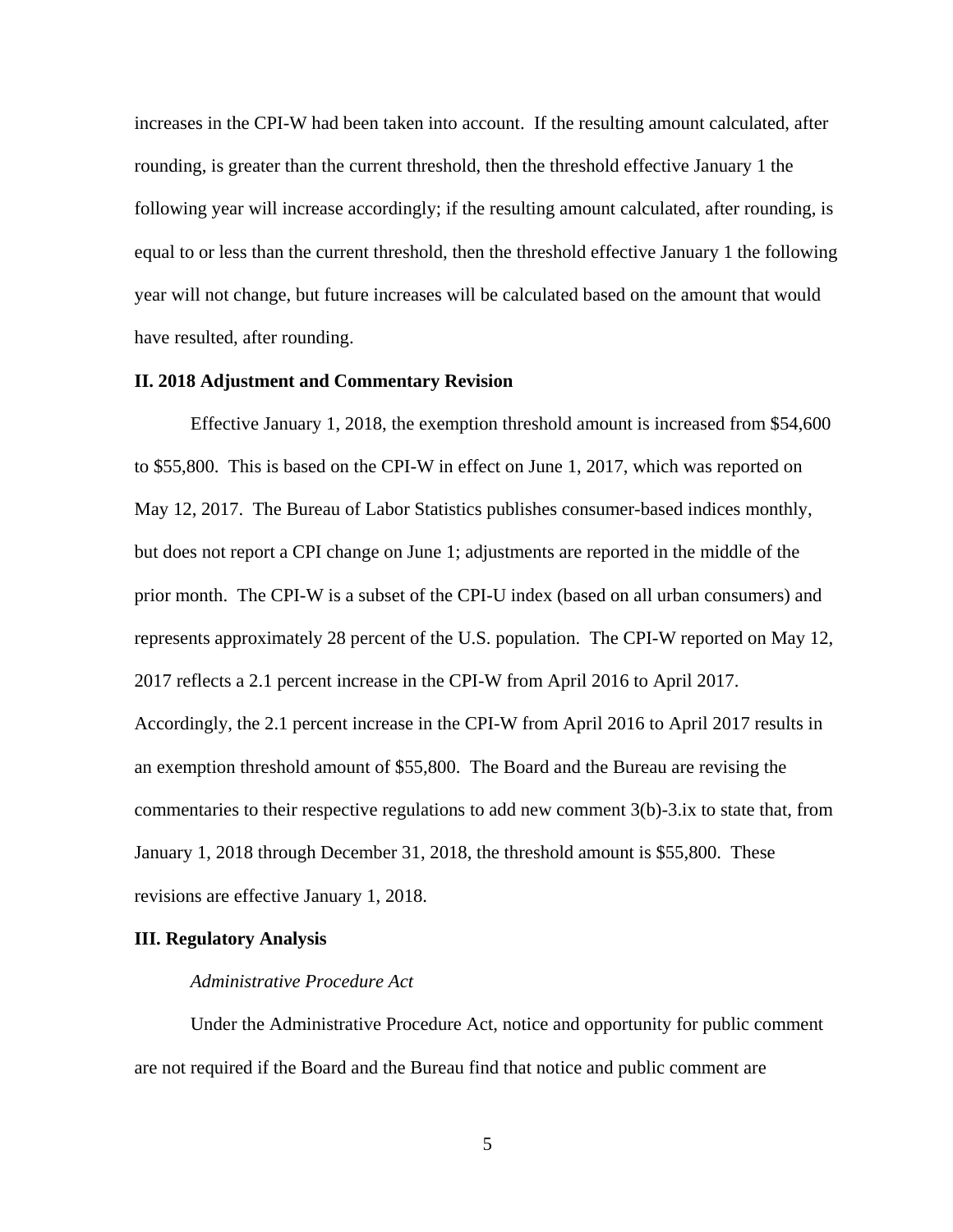increases in the CPI-W had been taken into account. If the resulting amount calculated, after rounding, is greater than the current threshold, then the threshold effective January 1 the following year will increase accordingly; if the resulting amount calculated, after rounding, is equal to or less than the current threshold, then the threshold effective January 1 the following year will not change, but future increases will be calculated based on the amount that would have resulted, after rounding.

#### **II. 2018 Adjustment and Commentary Revision**

Effective January 1, 2018, the exemption threshold amount is increased from \$54,600 to \$55,800. This is based on the CPI-W in effect on June 1, 2017, which was reported on May 12, 2017. The Bureau of Labor Statistics publishes consumer-based indices monthly, but does not report a CPI change on June 1; adjustments are reported in the middle of the prior month. The CPI-W is a subset of the CPI-U index (based on all urban consumers) and represents approximately 28 percent of the U.S. population. The CPI-W reported on May 12, 2017 reflects a 2.1 percent increase in the CPI-W from April 2016 to April 2017. Accordingly, the 2.1 percent increase in the CPI-W from April 2016 to April 2017 results in an exemption threshold amount of \$55,800. The Board and the Bureau are revising the commentaries to their respective regulations to add new comment 3(b)-3.ix to state that, from January 1, 2018 through December 31, 2018, the threshold amount is \$55,800. These revisions are effective January 1, 2018.

#### **III. Regulatory Analysis**

## *Administrative Procedure Act*

Under the Administrative Procedure Act, notice and opportunity for public comment are not required if the Board and the Bureau find that notice and public comment are

5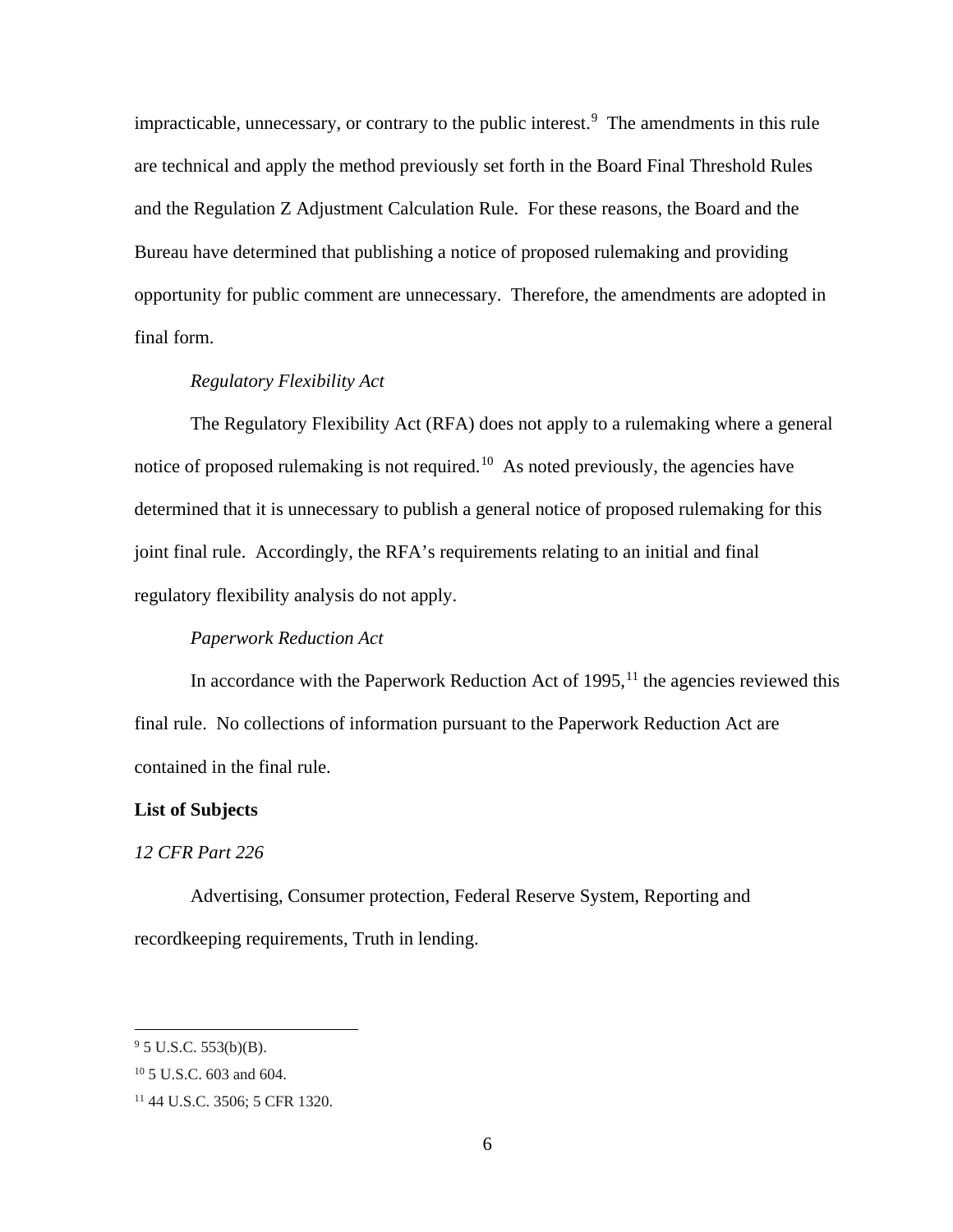impracticable, unnecessary, or contrary to the public interest.<sup>[9](#page-5-0)</sup> The amendments in this rule are technical and apply the method previously set forth in the Board Final Threshold Rules and the Regulation Z Adjustment Calculation Rule. For these reasons, the Board and the Bureau have determined that publishing a notice of proposed rulemaking and providing opportunity for public comment are unnecessary. Therefore, the amendments are adopted in final form.

# *Regulatory Flexibility Act*

The Regulatory Flexibility Act (RFA) does not apply to a rulemaking where a general notice of proposed rulemaking is not required.<sup>[10](#page-5-1)</sup> As noted previously, the agencies have determined that it is unnecessary to publish a general notice of proposed rulemaking for this joint final rule. Accordingly, the RFA's requirements relating to an initial and final regulatory flexibility analysis do not apply.

# *Paperwork Reduction Act*

In accordance with the Paperwork Reduction Act of  $1995$ ,<sup>[11](#page-5-2)</sup> the agencies reviewed this final rule. No collections of information pursuant to the Paperwork Reduction Act are contained in the final rule.

#### **List of Subjects**

#### *12 CFR Part 226*

Advertising, Consumer protection, Federal Reserve System, Reporting and recordkeeping requirements, Truth in lending.

<span id="page-5-0"></span> $9^9$  5 U.S.C. 553(b)(B).

<span id="page-5-1"></span><sup>10</sup> 5 U.S.C. 603 and 604.

<span id="page-5-2"></span><sup>11</sup> 44 U.S.C. 3506; 5 CFR 1320.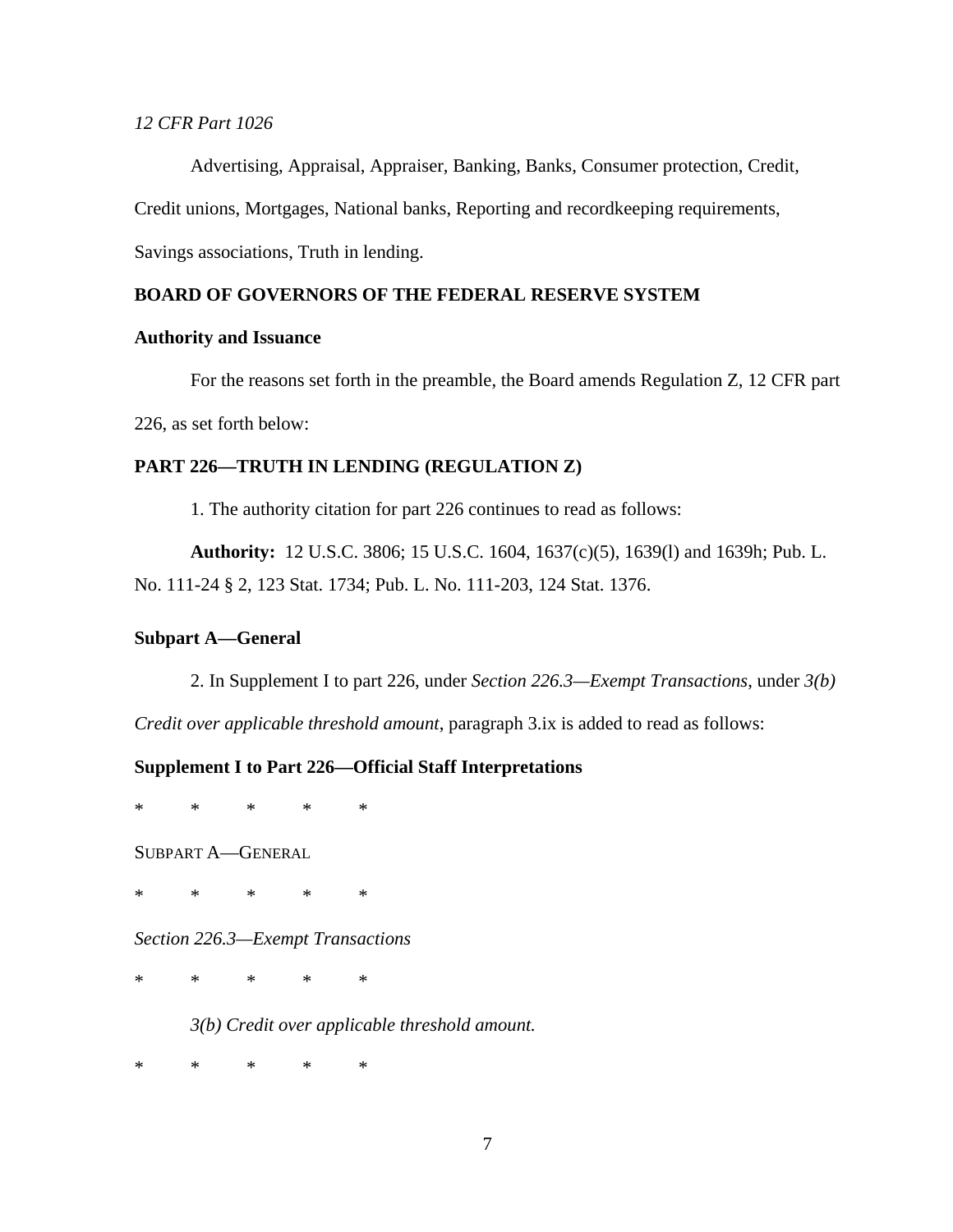## *12 CFR Part 1026*

Advertising, Appraisal, Appraiser, Banking, Banks, Consumer protection, Credit,

Credit unions, Mortgages, National banks, Reporting and recordkeeping requirements,

Savings associations, Truth in lending.

# **BOARD OF GOVERNORS OF THE FEDERAL RESERVE SYSTEM**

### **Authority and Issuance**

For the reasons set forth in the preamble, the Board amends Regulation Z, 12 CFR part 226, as set forth below:

# **PART 226—TRUTH IN LENDING (REGULATION Z)**

1. The authority citation for part 226 continues to read as follows:

**Authority:** 12 U.S.C. 3806; 15 U.S.C. 1604, 1637(c)(5), 1639(l) and 1639h; Pub. L. No. 111-24 § 2, 123 Stat. 1734; Pub. L. No. 111-203, 124 Stat. 1376.

#### **Subpart A—General**

2. In Supplement I to part 226, under *Section 226.3—Exempt Transactions*, under *3(b)* 

*Credit over applicable threshold amount*, paragraph 3.ix is added to read as follows:

## **Supplement I to Part 226—Official Staff Interpretations**

\* \* \* \* \*

SUBPART A—GENERAL

\* \* \* \* \*

*Section 226.3—Exempt Transactions*

\* \* \* \* \*

*3(b) Credit over applicable threshold amount.* 

\* \* \* \* \*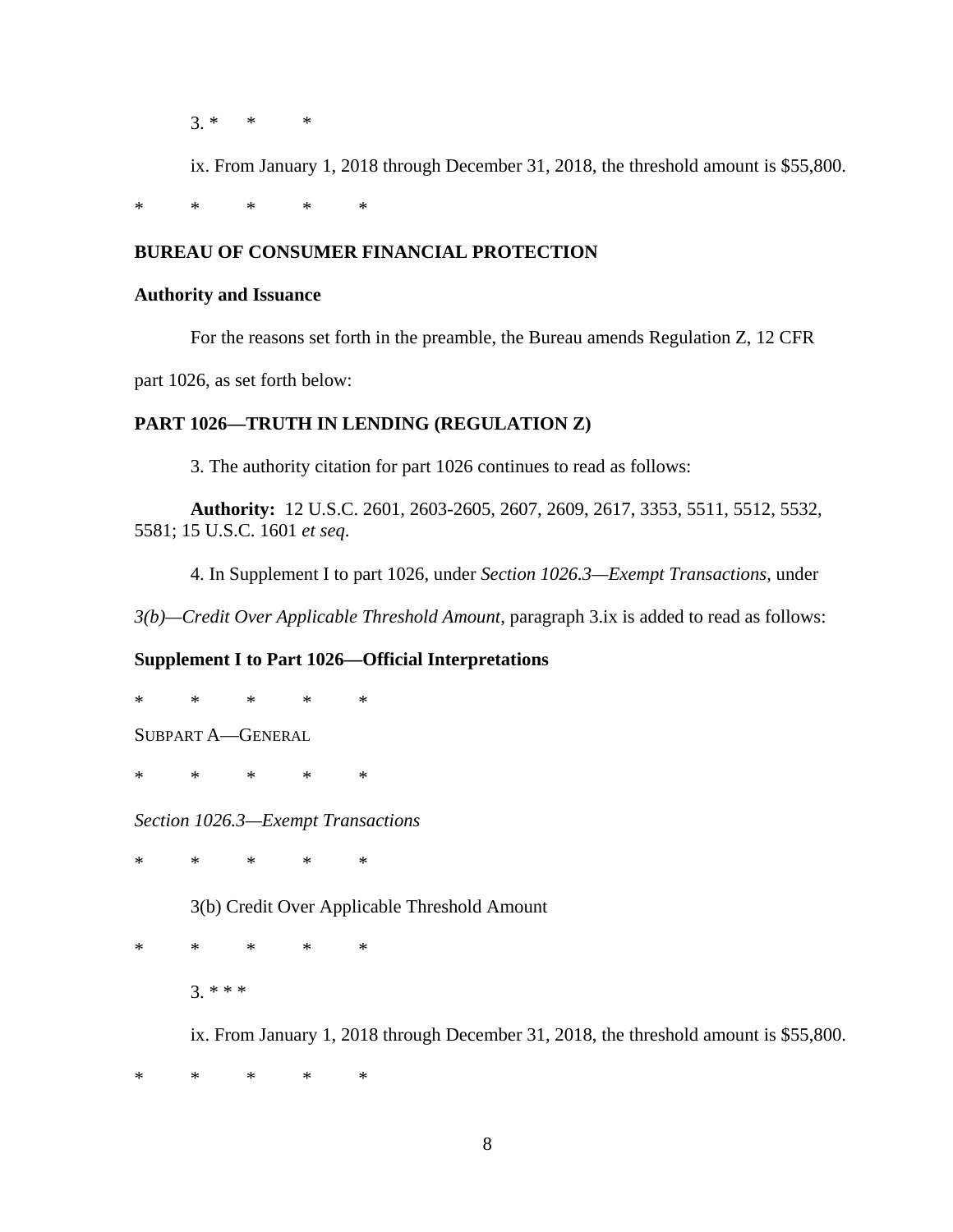$3.*$  \* \*

ix. From January 1, 2018 through December 31, 2018, the threshold amount is \$55,800.

\* \* \* \* \*

# **BUREAU OF CONSUMER FINANCIAL PROTECTION**

# **Authority and Issuance**

For the reasons set forth in the preamble, the Bureau amends Regulation Z, 12 CFR

part 1026, as set forth below:

# **PART 1026—TRUTH IN LENDING (REGULATION Z)**

3. The authority citation for part 1026 continues to read as follows:

**Authority:** 12 U.S.C. 2601, 2603-2605, 2607, 2609, 2617, 3353, 5511, 5512, 5532, 5581; 15 U.S.C. 1601 *et seq*.

4. In Supplement I to part 1026, under *Section 1026.3—Exempt Transactions*, under

*3(b)—Credit Over Applicable Threshold Amount*, paragraph 3.ix is added to read as follows:

# **Supplement I to Part 1026—Official Interpretations**

\* \* \* \* \* SUBPART A—GENERAL

\* \* \* \* \*

*Section 1026.3—Exempt Transactions*

\* \* \* \* \*

3(b) Credit Over Applicable Threshold Amount

\* \* \* \* \* 3. \* \* \*

ix. From January 1, 2018 through December 31, 2018, the threshold amount is \$55,800.

\* \* \* \* \*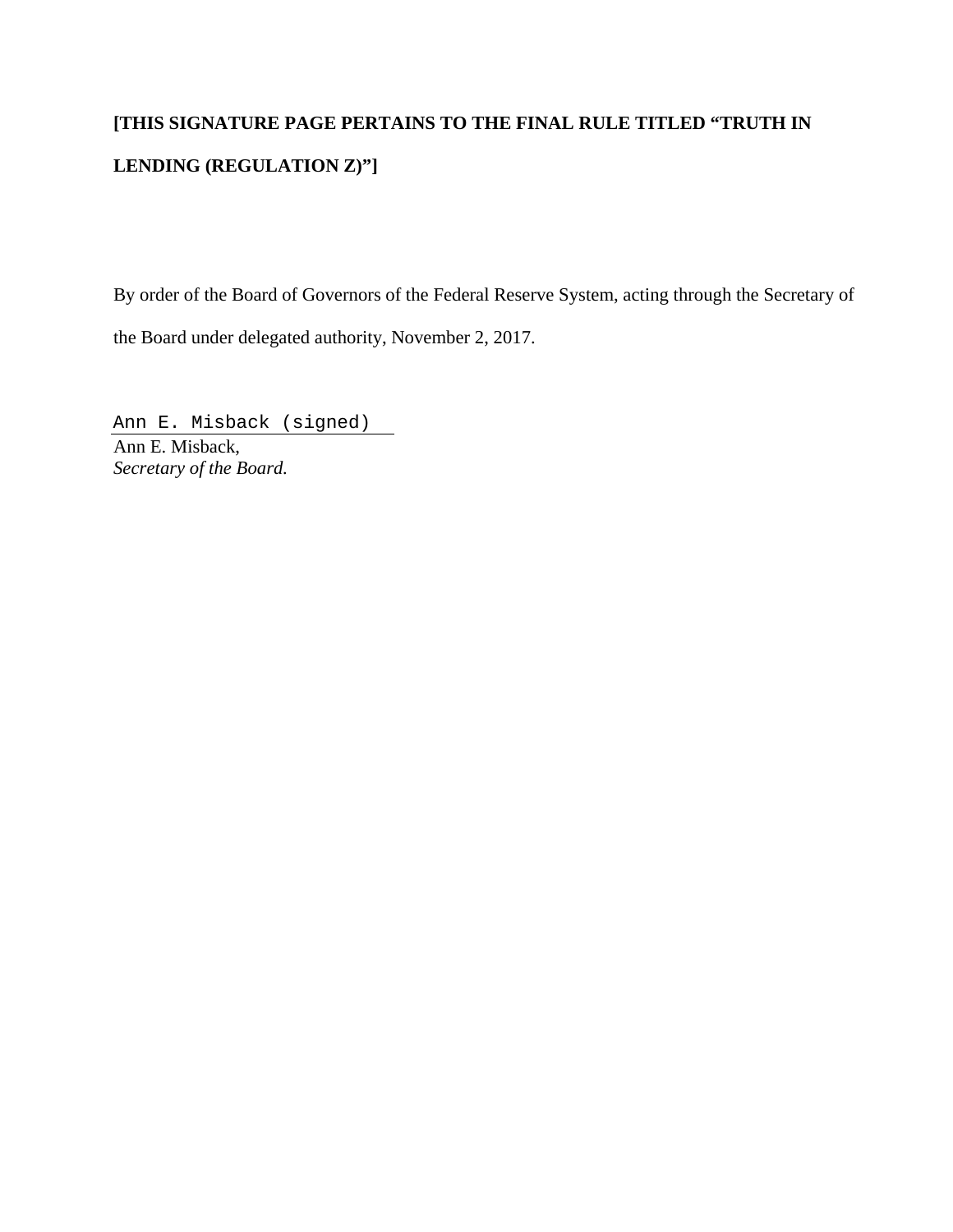# **[THIS SIGNATURE PAGE PERTAINS TO THE FINAL RULE TITLED "TRUTH IN LENDING (REGULATION Z)"]**

By order of the Board of Governors of the Federal Reserve System, acting through the Secretary of the Board under delegated authority, November 2, 2017.

Ann E. Misback (signed) Ann E. Misback, *Secretary of the Board.*